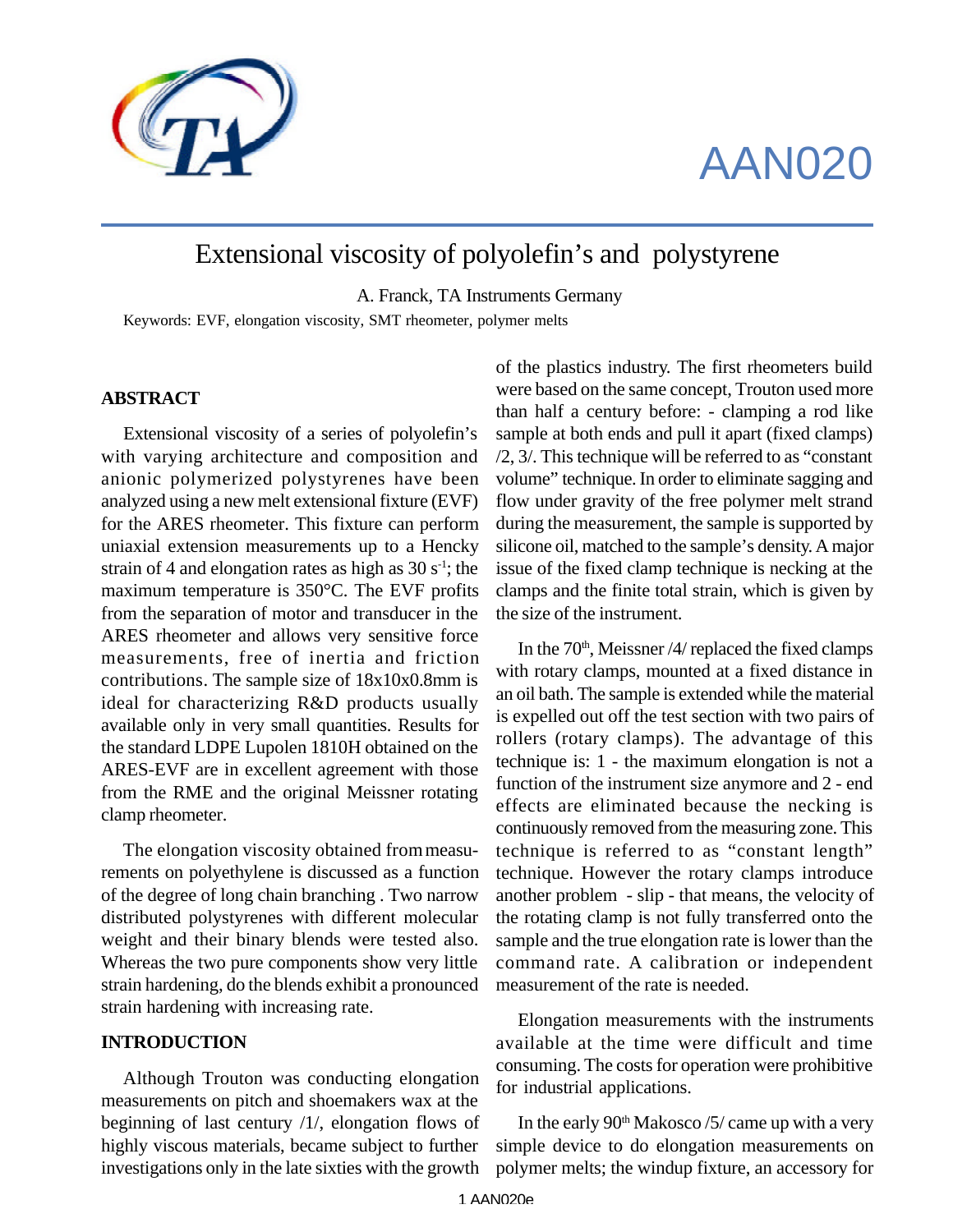

# AAN020

# Extensional viscosity of polyolefin's and polystyrene

A. Franck, TA Instruments Germany

Keywords: EVF, elongation viscosity, SMT rheometer, polymer melts

#### **ABSTRACT**

Extensional viscosity of a series of polyolefin's with varying architecture and composition and anionic polymerized polystyrenes have been analyzed using a new melt extensional fixture (EVF) for the ARES rheometer. This fixture can perform uniaxial extension measurements up to a Hencky strain of 4 and elongation rates as high as  $30 s<sup>-1</sup>$ ; the maximum temperature is 350°C. The EVF profits from the separation of motor and transducer in the ARES rheometer and allows very sensitive force measurements, free of inertia and friction contributions. The sample size of 18x10x0.8mm is ideal for characterizing R&D products usually available only in very small quantities. Results for the standard LDPE Lupolen 1810H obtained on the ARES-EVF are in excellent agreement with those from the RME and the original Meissner rotating clamp rheometer.

The elongation viscosity obtained from measurements on polyethylene is discussed as a function of the degree of long chain branching . Two narrow distributed polystyrenes with different molecular weight and their binary blends were tested also. Whereas the two pure components show very little strain hardening, do the blends exhibit a pronounced strain hardening with increasing rate.

# **INTRODUCTION**

Although Trouton was conducting elongation measurements on pitch and shoemakers wax at the beginning of last century /1/, elongation flows of highly viscous materials, became subject to further investigations only in the late sixties with the growth of the plastics industry. The first rheometers build were based on the same concept, Trouton used more than half a century before: - clamping a rod like sample at both ends and pull it apart (fixed clamps) /2, 3/. This technique will be referred to as "constant volume" technique. In order to eliminate sagging and flow under gravity of the free polymer melt strand during the measurement, the sample is supported by silicone oil, matched to the sample's density. A major issue of the fixed clamp technique is necking at the clamps and the finite total strain, which is given by the size of the instrument.

In the  $70<sup>th</sup>$ , Meissner /4/ replaced the fixed clamps with rotary clamps, mounted at a fixed distance in an oil bath. The sample is extended while the material is expelled out off the test section with two pairs of rollers (rotary clamps). The advantage of this technique is: 1 - the maximum elongation is not a function of the instrument size anymore and 2 - end effects are eliminated because the necking is continuously removed from the measuring zone. This technique is referred to as "constant length" technique. However the rotary clamps introduce another problem - slip - that means, the velocity of the rotating clamp is not fully transferred onto the sample and the true elongation rate is lower than the command rate. A calibration or independent measurement of the rate is needed.

Elongation measurements with the instruments available at the time were difficult and time consuming. The costs for operation were prohibitive for industrial applications.

In the early  $90<sup>th</sup>$  Makosco /5/ came up with a very simple device to do elongation measurements on polymer melts; the windup fixture, an accessory for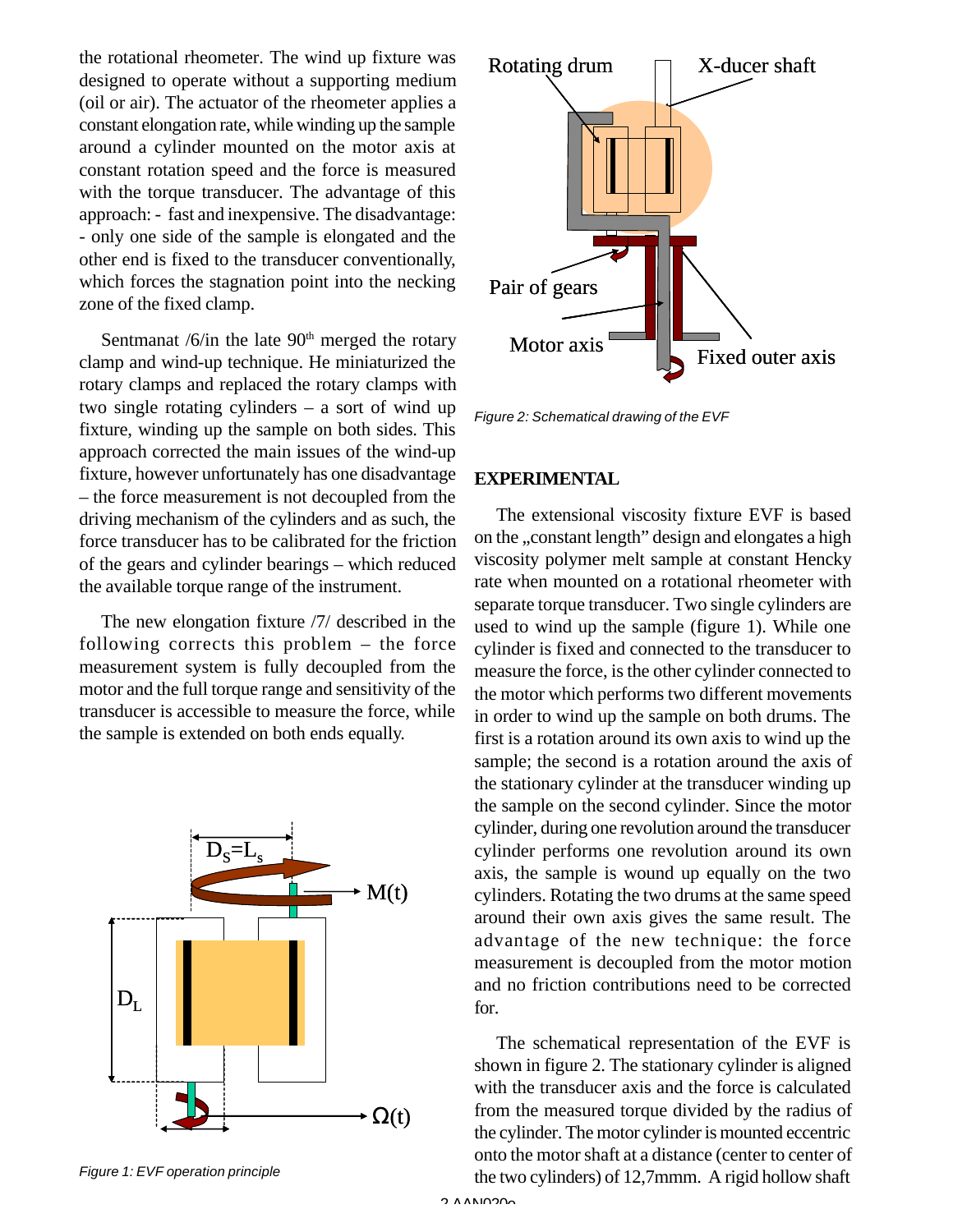the rotational rheometer. The wind up fixture was designed to operate without a supporting medium (oil or air). The actuator of the rheometer applies a constant elongation rate, while winding up the sample around a cylinder mounted on the motor axis at constant rotation speed and the force is measured with the torque transducer. The advantage of this approach: - fast and inexpensive. The disadvantage: - only one side of the sample is elongated and the other end is fixed to the transducer conventionally, which forces the stagnation point into the necking zone of the fixed clamp.

Sentmanat  $/6$ /in the late  $90<sup>th</sup>$  merged the rotary clamp and wind-up technique. He miniaturized the rotary clamps and replaced the rotary clamps with two single rotating cylinders – a sort of wind up fixture, winding up the sample on both sides. This approach corrected the main issues of the wind-up fixture, however unfortunately has one disadvantage – the force measurement is not decoupled from the driving mechanism of the cylinders and as such, the force transducer has to be calibrated for the friction of the gears and cylinder bearings – which reduced the available torque range of the instrument.

The new elongation fixture /7/ described in the following corrects this problem – the force measurement system is fully decoupled from the motor and the full torque range and sensitivity of the transducer is accessible to measure the force, while the sample is extended on both ends equally.



Rotating drum  $\Box$  X-ducer shaft Motor axis Fixed outer axis Pair of gears

*Figure 2: Schematical drawing of the EVF*

#### **EXPERIMENTAL**

The extensional viscosity fixture EVF is based on the "constant length" design and elongates a high viscosity polymer melt sample at constant Hencky rate when mounted on a rotational rheometer with separate torque transducer. Two single cylinders are used to wind up the sample (figure 1). While one cylinder is fixed and connected to the transducer to measure the force, is the other cylinder connected to the motor which performs two different movements in order to wind up the sample on both drums. The first is a rotation around its own axis to wind up the sample; the second is a rotation around the axis of the stationary cylinder at the transducer winding up the sample on the second cylinder. Since the motor cylinder, during one revolution around the transducer cylinder performs one revolution around its own axis, the sample is wound up equally on the two cylinders. Rotating the two drums at the same speed around their own axis gives the same result. The advantage of the new technique: the force measurement is decoupled from the motor motion and no friction contributions need to be corrected for.

The schematical representation of the EVF is shown in figure 2. The stationary cylinder is aligned with the transducer axis and the force is calculated from the measured torque divided by the radius of the cylinder. The motor cylinder is mounted eccentric onto the motor shaft at a distance (center to center of the two cylinders) of 12,7mmm. A rigid hollow shaft

*Figure 1: EVF operation principle*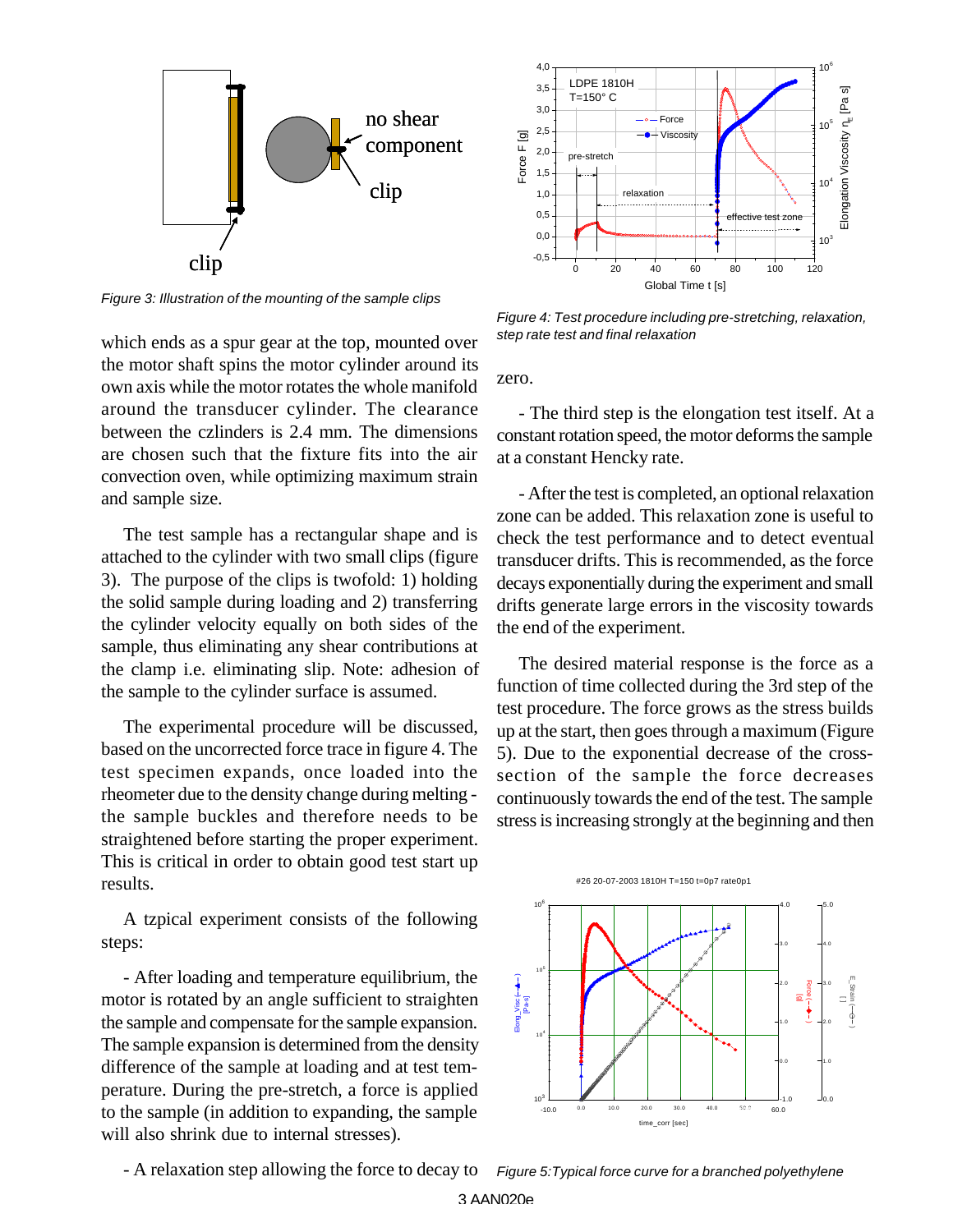

*Figure 3: Illustration of the mounting of the sample clips*

which ends as a spur gear at the top, mounted over the motor shaft spins the motor cylinder around its own axis while the motor rotates the whole manifold around the transducer cylinder. The clearance between the czlinders is 2.4 mm. The dimensions are chosen such that the fixture fits into the air convection oven, while optimizing maximum strain and sample size.

The test sample has a rectangular shape and is attached to the cylinder with two small clips (figure 3). The purpose of the clips is twofold: 1) holding the solid sample during loading and 2) transferring the cylinder velocity equally on both sides of the sample, thus eliminating any shear contributions at the clamp i.e. eliminating slip. Note: adhesion of the sample to the cylinder surface is assumed.

The experimental procedure will be discussed, based on the uncorrected force trace in figure 4. The test specimen expands, once loaded into the rheometer due to the density change during melting the sample buckles and therefore needs to be straightened before starting the proper experiment. This is critical in order to obtain good test start up results.

A tzpical experiment consists of the following steps:

- After loading and temperature equilibrium, the motor is rotated by an angle sufficient to straighten the sample and compensate for the sample expansion. The sample expansion is determined from the density difference of the sample at loading and at test temperature. During the pre-stretch, a force is applied to the sample (in addition to expanding, the sample will also shrink due to internal stresses).



*Figure 4: Test procedure including pre-stretching, relaxation, step rate test and final relaxation*

zero.

- The third step is the elongation test itself. At a constant rotation speed, the motor deforms the sample at a constant Hencky rate.

- After the test is completed, an optional relaxation zone can be added. This relaxation zone is useful to check the test performance and to detect eventual transducer drifts. This is recommended, as the force decays exponentially during the experiment and small drifts generate large errors in the viscosity towards the end of the experiment.

The desired material response is the force as a function of time collected during the 3rd step of the test procedure. The force grows as the stress builds up at the start, then goes through a maximum (Figure 5). Due to the exponential decrease of the crosssection of the sample the force decreases continuously towards the end of the test. The sample stress is increasing strongly at the beginning and then





- A relaxation step allowing the force to decay to

*Figure 5:Typical force curve for a branched polyethylene*

3 AAN020e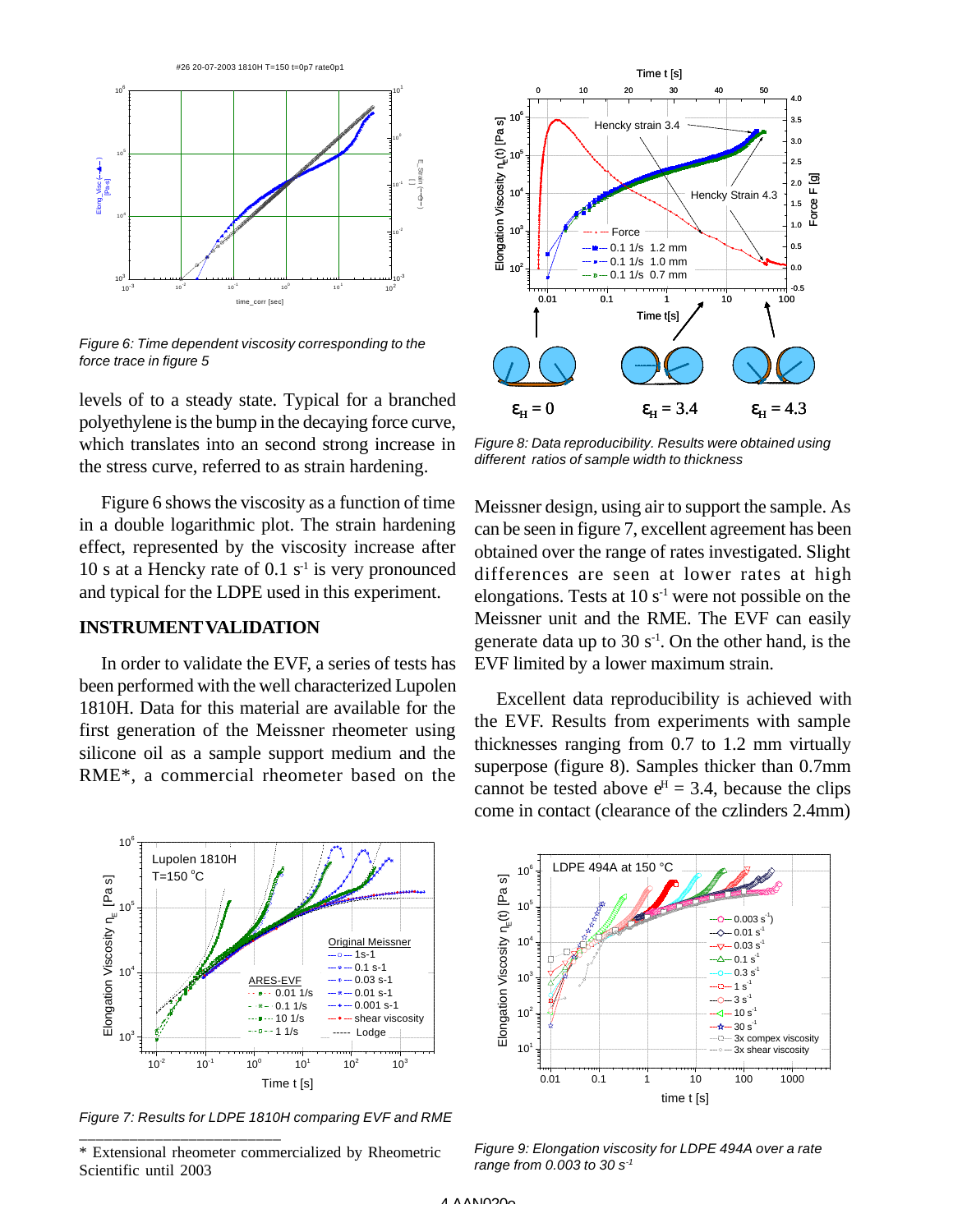

*Figure 6: Time dependent viscosity corresponding to the force trace in figure 5*

levels of to a steady state. Typical for a branched polyethylene is the bump in the decaying force curve, which translates into an second strong increase in the stress curve, referred to as strain hardening.

Figure 6 shows the viscosity as a function of time in a double logarithmic plot. The strain hardening effect, represented by the viscosity increase after 10 s at a Hencky rate of 0.1  $s<sup>-1</sup>$  is very pronounced and typical for the LDPE used in this experiment.

# **INSTRUMENTVALIDATION**

In order to validate the EVF, a series of tests has been performed with the well characterized Lupolen 1810H. Data for this material are available for the first generation of the Meissner rheometer using silicone oil as a sample support medium and the RME\*, a commercial rheometer based on the



*Figure 8: Data reproducibility. Results were obtained using different ratios of sample width to thickness*

Meissner design, using air to support the sample. As can be seen in figure 7, excellent agreement has been obtained over the range of rates investigated. Slight differences are seen at lower rates at high elongations. Tests at  $10 s<sup>-1</sup>$  were not possible on the Meissner unit and the RME. The EVF can easily generate data up to 30  $s<sup>-1</sup>$ . On the other hand, is the EVF limited by a lower maximum strain.

Excellent data reproducibility is achieved with the EVF. Results from experiments with sample thicknesses ranging from 0.7 to 1.2 mm virtually superpose (figure 8). Samples thicker than 0.7mm cannot be tested above  $e^H = 3.4$ , because the clips come in contact (clearance of the czlinders 2.4mm)



*Figure 7: Results for LDPE 1810H comparing EVF and RME* \_\_\_\_\_\_\_\_\_\_\_\_\_\_\_\_\_\_\_\_\_\_\_\_

<sup>\*</sup> Extensional rheometer commercialized by Rheometric Scientific until 2003



*Figure 9: Elongation viscosity for LDPE 494A over a rate range from 0.003 to 30 s-1*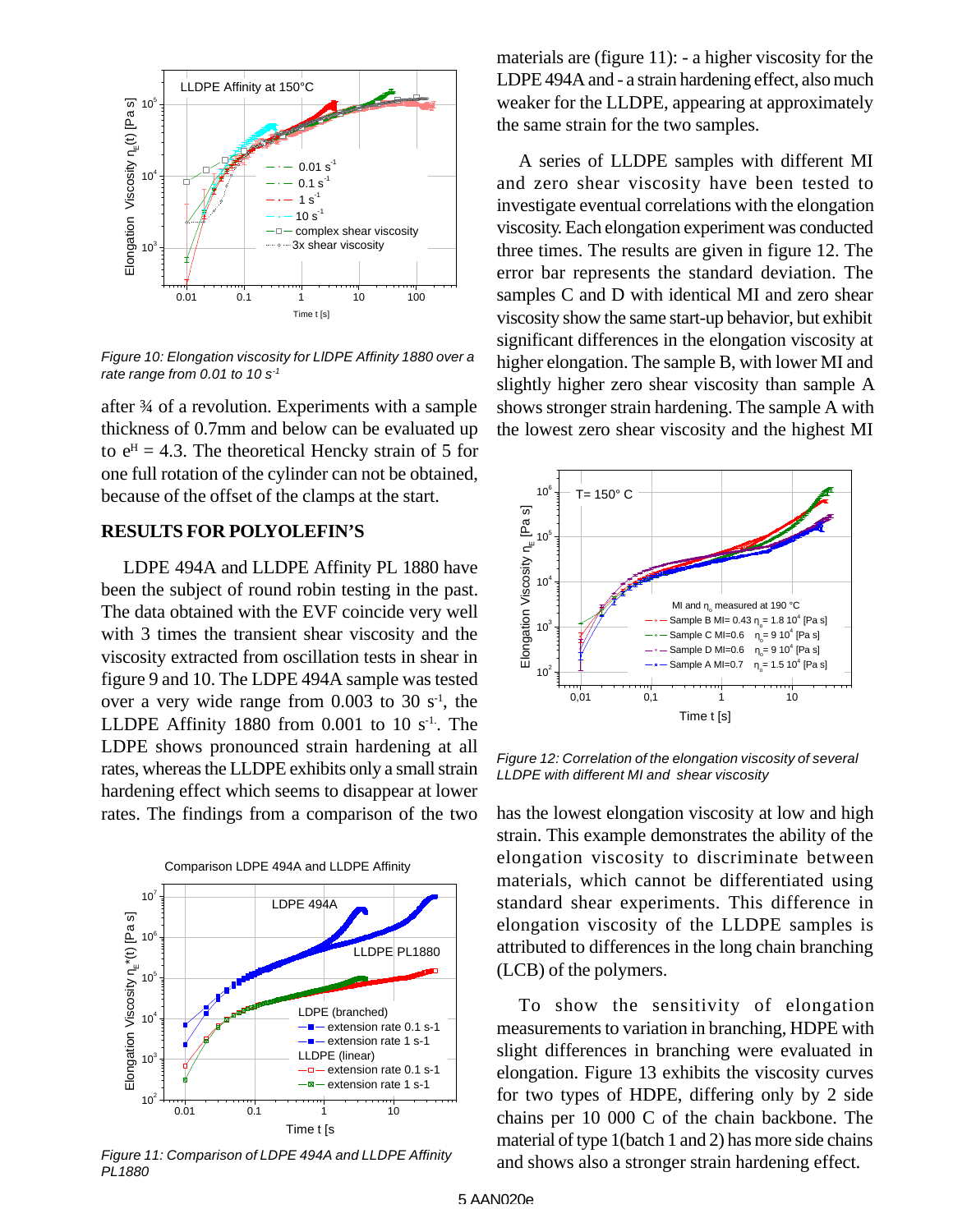

*Figure 10: Elongation viscosity for LlDPE Affinity 1880 over a rate range from 0.01 to 10 s-1*

after ¾ of a revolution. Experiments with a sample thickness of 0.7mm and below can be evaluated up to  $e^H = 4.3$ . The theoretical Hencky strain of 5 for one full rotation of the cylinder can not be obtained, because of the offset of the clamps at the start.

# **RESULTS FOR POLYOLEFIN'S**

LDPE 494A and LLDPE Affinity PL 1880 have been the subject of round robin testing in the past. The data obtained with the EVF coincide very well with 3 times the transient shear viscosity and the viscosity extracted from oscillation tests in shear in figure 9 and 10. The LDPE 494A sample was tested over a very wide range from  $0.003$  to  $30 \text{ s}^{-1}$ , the LLDPE Affinity 1880 from  $0.001$  to  $10 s<sup>-1</sup>$ . The LDPE shows pronounced strain hardening at all rates, whereas the LLDPE exhibits only a small strain hardening effect which seems to disappear at lower rates. The findings from a comparison of the two



*Figure 11: Comparison of LDPE 494A and LLDPE Affinity PL1880*

materials are (figure 11): - a higher viscosity for the LDPE 494A and - a strain hardening effect, also much weaker for the LLDPE, appearing at approximately the same strain for the two samples.

A series of LLDPE samples with different MI and zero shear viscosity have been tested to investigate eventual correlations with the elongation viscosity. Each elongation experiment was conducted three times. The results are given in figure 12. The error bar represents the standard deviation. The samples C and D with identical MI and zero shear viscosity show the same start-up behavior, but exhibit significant differences in the elongation viscosity at higher elongation. The sample B, with lower MI and slightly higher zero shear viscosity than sample A shows stronger strain hardening. The sample A with the lowest zero shear viscosity and the highest MI



*Figure 12: Correlation of the elongation viscosity of several LLDPE with different MI and shear viscosity*

has the lowest elongation viscosity at low and high strain. This example demonstrates the ability of the elongation viscosity to discriminate between materials, which cannot be differentiated using standard shear experiments. This difference in elongation viscosity of the LLDPE samples is attributed to differences in the long chain branching (LCB) of the polymers.

To show the sensitivity of elongation measurements to variation in branching, HDPE with slight differences in branching were evaluated in elongation. Figure 13 exhibits the viscosity curves for two types of HDPE, differing only by 2 side chains per 10 000 C of the chain backbone. The material of type 1(batch 1 and 2) has more side chains and shows also a stronger strain hardening effect.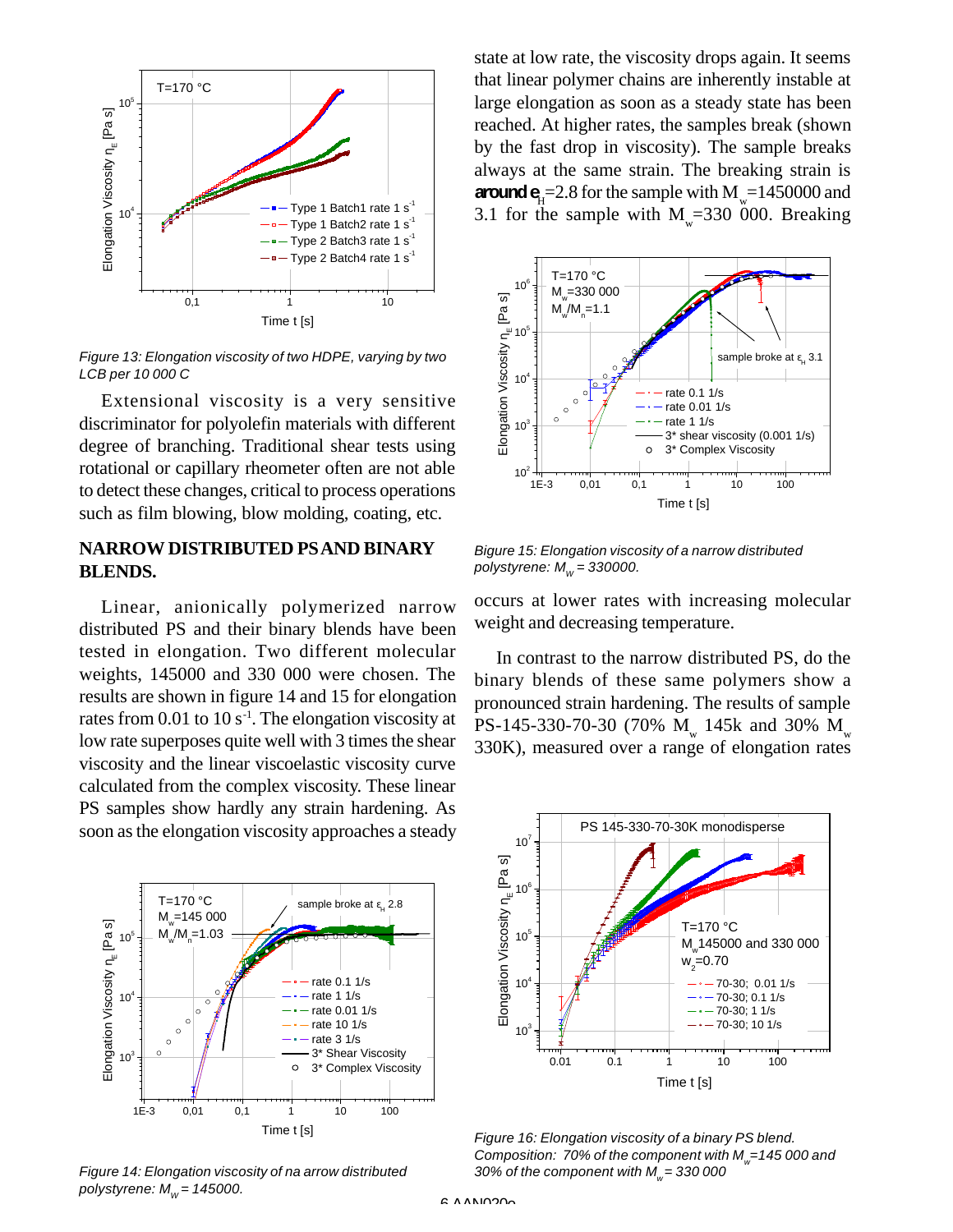

*Figure 13: Elongation viscosity of two HDPE, varying by two LCB per 10 000 C*

Extensional viscosity is a very sensitive discriminator for polyolefin materials with different degree of branching. Traditional shear tests using rotational or capillary rheometer often are not able to detect these changes, critical to process operations such as film blowing, blow molding, coating, etc.

# **NARROW DISTRIBUTED PS AND BINARY BLENDS.**

Linear, anionically polymerized narrow distributed PS and their binary blends have been tested in elongation. Two different molecular weights, 145000 and 330 000 were chosen. The results are shown in figure 14 and 15 for elongation rates from  $0.01$  to  $10 s<sup>-1</sup>$ . The elongation viscosity at low rate superposes quite well with 3 times the shear viscosity and the linear viscoelastic viscosity curve calculated from the complex viscosity. These linear PS samples show hardly any strain hardening. As soon as the elongation viscosity approaches a steady



*Figure 14: Elongation viscosity of na arrow distributed polystyrene:*  $M_w$  = 145000.

state at low rate, the viscosity drops again. It seems that linear polymer chains are inherently instable at large elongation as soon as a steady state has been reached. At higher rates, the samples break (shown by the fast drop in viscosity). The sample breaks always at the same strain. The breaking strain is **around**  $\mathbf{e}_{\mathrm{H}}$ =2.8 for the sample with  $M_{\mathrm{w}}$ =1450000 and 3.1 for the sample with  $M_{w}$ =330 000. Breaking



*Bigure 15: Elongation viscosity of a narrow distributed polystyrene: M<sup>W</sup> = 330000.*

occurs at lower rates with increasing molecular weight and decreasing temperature.

In contrast to the narrow distributed PS, do the binary blends of these same polymers show a pronounced strain hardening. The results of sample PS-145-330-70-30 (70%  $M_{w}$  145k and 30%  $M_{w}$ 330K), measured over a range of elongation rates



*Figure 16: Elongation viscosity of a binary PS blend. Composition: 70% of the component with M<sup>w</sup> =145 000 and 30% of the component with M<sup>w</sup> = 330 000*